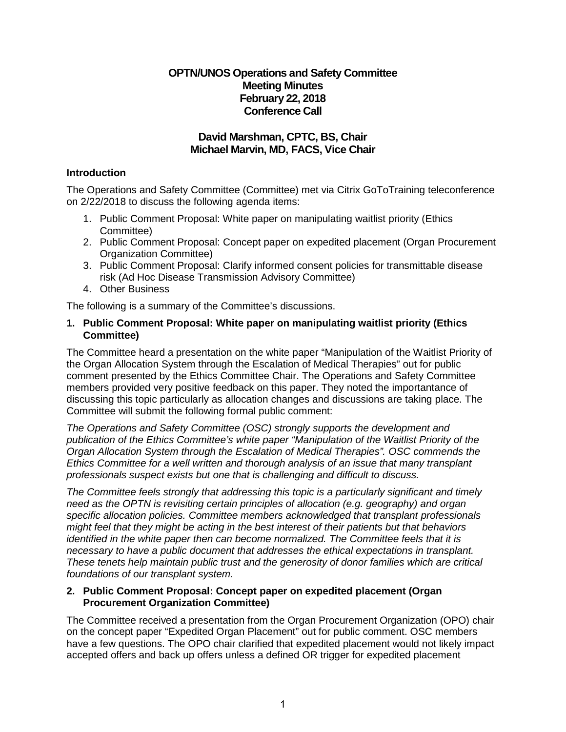## **OPTN/UNOS Operations and Safety Committee Meeting Minutes February 22, 2018 Conference Call**

# **David Marshman, CPTC, BS, Chair Michael Marvin, MD, FACS, Vice Chair**

### **Introduction**

The Operations and Safety Committee (Committee) met via Citrix GoToTraining teleconference on 2/22/2018 to discuss the following agenda items:

- 1. Public Comment Proposal: White paper on manipulating waitlist priority (Ethics Committee)
- 2. Public Comment Proposal: Concept paper on expedited placement (Organ Procurement Organization Committee)
- 3. Public Comment Proposal: Clarify informed consent policies for transmittable disease risk (Ad Hoc Disease Transmission Advisory Committee)
- 4. Other Business

The following is a summary of the Committee's discussions.

### **1. Public Comment Proposal: White paper on manipulating waitlist priority (Ethics Committee)**

The Committee heard a presentation on the white paper "Manipulation of the Waitlist Priority of the Organ Allocation System through the Escalation of Medical Therapies" out for public comment presented by the Ethics Committee Chair. The Operations and Safety Committee members provided very positive feedback on this paper. They noted the importantance of discussing this topic particularly as allocation changes and discussions are taking place. The Committee will submit the following formal public comment:

*The Operations and Safety Committee (OSC) strongly supports the development and publication of the Ethics Committee's white paper "Manipulation of the Waitlist Priority of the Organ Allocation System through the Escalation of Medical Therapies". OSC commends the Ethics Committee for a well written and thorough analysis of an issue that many transplant professionals suspect exists but one that is challenging and difficult to discuss.*

*The Committee feels strongly that addressing this topic is a particularly significant and timely need as the OPTN is revisiting certain principles of allocation (e.g. geography) and organ specific allocation policies. Committee members acknowledged that transplant professionals might feel that they might be acting in the best interest of their patients but that behaviors identified in the white paper then can become normalized. The Committee feels that it is necessary to have a public document that addresses the ethical expectations in transplant. These tenets help maintain public trust and the generosity of donor families which are critical foundations of our transplant system.*

#### **2. Public Comment Proposal: Concept paper on expedited placement (Organ Procurement Organization Committee)**

The Committee received a presentation from the Organ Procurement Organization (OPO) chair on the concept paper "Expedited Organ Placement" out for public comment. OSC members have a few questions. The OPO chair clarified that expedited placement would not likely impact accepted offers and back up offers unless a defined OR trigger for expedited placement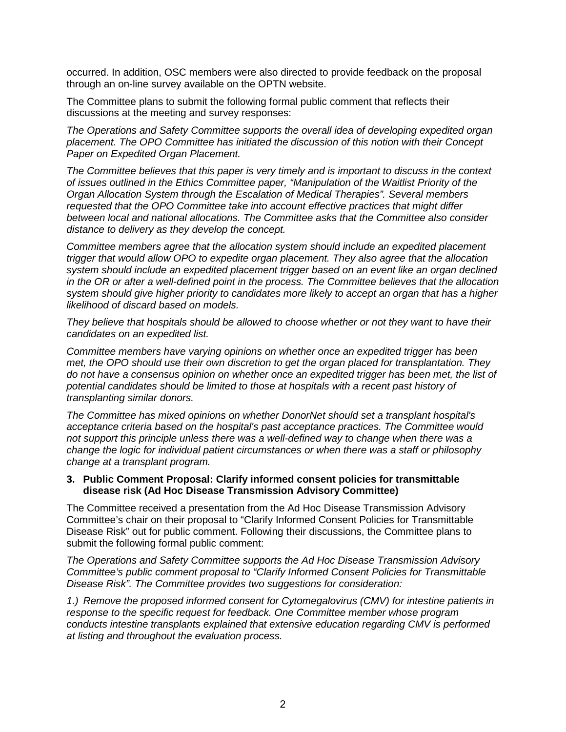occurred. In addition, OSC members were also directed to provide feedback on the proposal through an on-line survey available on the OPTN website.

The Committee plans to submit the following formal public comment that reflects their discussions at the meeting and survey responses:

*The Operations and Safety Committee supports the overall idea of developing expedited organ placement. The OPO Committee has initiated the discussion of this notion with their Concept Paper on Expedited Organ Placement.*

*The Committee believes that this paper is very timely and is important to discuss in the context of issues outlined in the Ethics Committee paper, "Manipulation of the Waitlist Priority of the Organ Allocation System through the Escalation of Medical Therapies". Several members requested that the OPO Committee take into account effective practices that might differ between local and national allocations. The Committee asks that the Committee also consider distance to delivery as they develop the concept.*

*Committee members agree that the allocation system should include an expedited placement trigger that would allow OPO to expedite organ placement. They also agree that the allocation system should include an expedited placement trigger based on an event like an organ declined in the OR or after a well-defined point in the process. The Committee believes that the allocation system should give higher priority to candidates more likely to accept an organ that has a higher likelihood of discard based on models.*

*They believe that hospitals should be allowed to choose whether or not they want to have their candidates on an expedited list.*

*Committee members have varying opinions on whether once an expedited trigger has been met, the OPO should use their own discretion to get the organ placed for transplantation. They do not have a consensus opinion on whether once an expedited trigger has been met, the list of potential candidates should be limited to those at hospitals with a recent past history of transplanting similar donors.*

*The Committee has mixed opinions on whether DonorNet should set a transplant hospital's acceptance criteria based on the hospital's past acceptance practices. The Committee would not support this principle unless there was a well-defined way to change when there was a change the logic for individual patient circumstances or when there was a staff or philosophy change at a transplant program.*

#### **3. Public Comment Proposal: Clarify informed consent policies for transmittable disease risk (Ad Hoc Disease Transmission Advisory Committee)**

The Committee received a presentation from the Ad Hoc Disease Transmission Advisory Committee's chair on their proposal to "Clarify Informed Consent Policies for Transmittable Disease Risk" out for public comment. Following their discussions, the Committee plans to submit the following formal public comment:

*The Operations and Safety Committee supports the Ad Hoc Disease Transmission Advisory Committee's public comment proposal to "Clarify Informed Consent Policies for Transmittable Disease Risk". The Committee provides two suggestions for consideration:*

*1.) Remove the proposed informed consent for Cytomegalovirus (CMV) for intestine patients in response to the specific request for feedback. One Committee member whose program conducts intestine transplants explained that extensive education regarding CMV is performed at listing and throughout the evaluation process.*